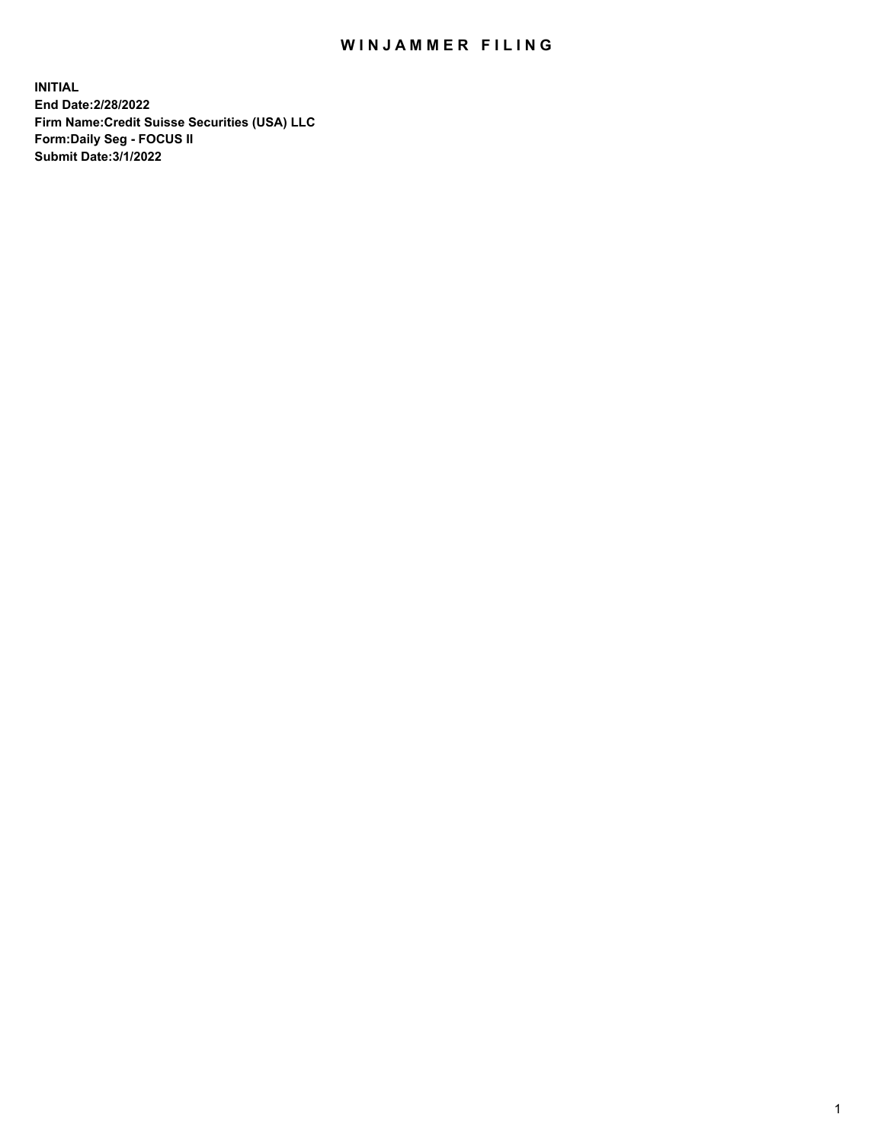# WIN JAMMER FILING

**INITIAL End Date:2/28/2022 Firm Name:Credit Suisse Securities (USA) LLC Form:Daily Seg - FOCUS II Submit Date:3/1/2022**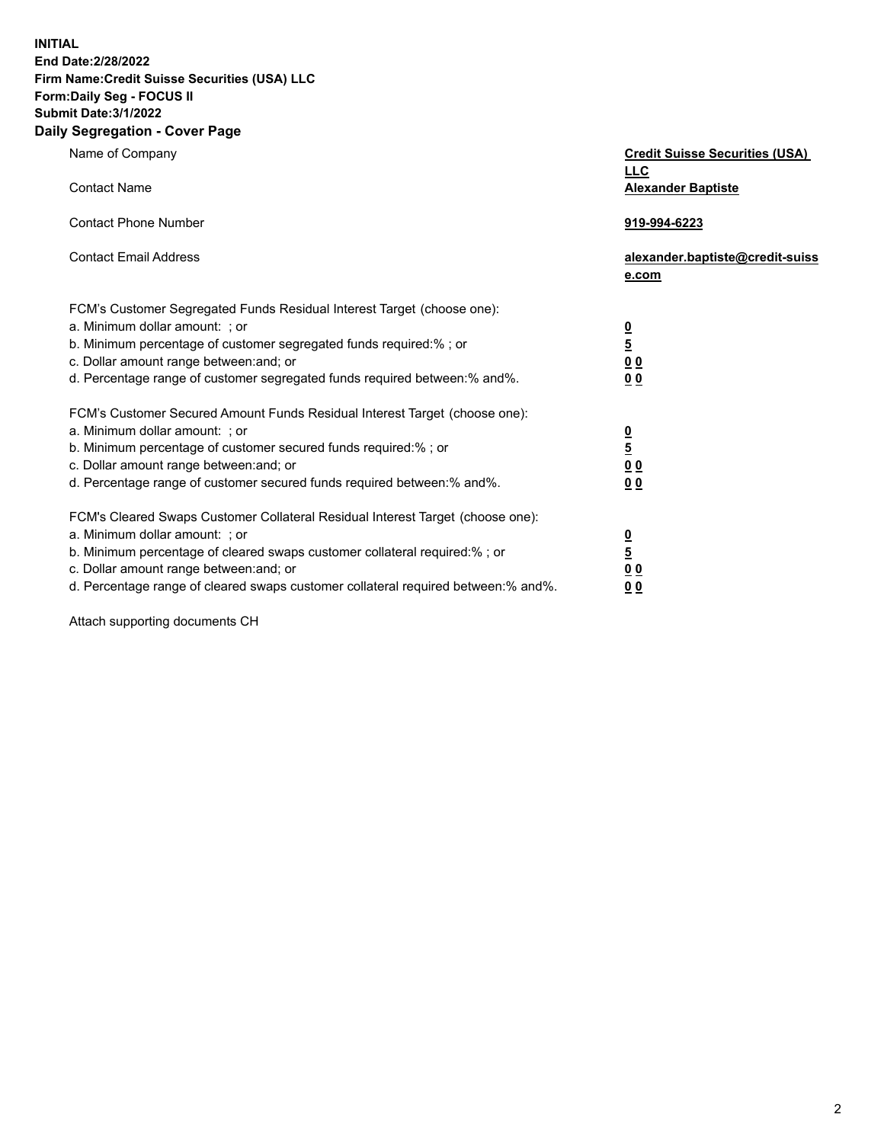**INITIAL** 

### **End Date:2/28/2022 Firm Name:Credit Suisse Securities (USA) LLC Form:Daily Seg - FOCUS II**

### **Submit Date:3/1/2022**

### **Daily Segregation - Cover Page**

| Name of Company                                                                   | <b>Credit Suisse Securities (USA)</b> |
|-----------------------------------------------------------------------------------|---------------------------------------|
|                                                                                   | <b>LLC</b>                            |
| <b>Contact Name</b>                                                               | <b>Alexander Baptiste</b>             |
| <b>Contact Phone Number</b>                                                       | 919-994-6223                          |
|                                                                                   |                                       |
| <b>Contact Email Address</b>                                                      | alexander.baptiste@credit-suiss       |
|                                                                                   | e.com                                 |
| FCM's Customer Segregated Funds Residual Interest Target (choose one):            |                                       |
| a. Minimum dollar amount: ; or                                                    |                                       |
| b. Minimum percentage of customer segregated funds required:% ; or                | $\frac{0}{5}$                         |
| c. Dollar amount range between: and; or                                           |                                       |
|                                                                                   | $\underline{0} \underline{0}$         |
| d. Percentage range of customer segregated funds required between:% and%.         | 00                                    |
| FCM's Customer Secured Amount Funds Residual Interest Target (choose one):        |                                       |
| a. Minimum dollar amount: ; or                                                    |                                       |
| b. Minimum percentage of customer secured funds required:%; or                    | $\frac{\frac{0}{5}}{\frac{0}{0}}$     |
| c. Dollar amount range between: and; or                                           |                                       |
| d. Percentage range of customer secured funds required between: % and %.          | 0 <sub>0</sub>                        |
|                                                                                   |                                       |
| FCM's Cleared Swaps Customer Collateral Residual Interest Target (choose one):    |                                       |
| a. Minimum dollar amount: ; or                                                    | $\frac{0}{5}$                         |
| b. Minimum percentage of cleared swaps customer collateral required:% ; or        |                                       |
| c. Dollar amount range between: and; or                                           | 0 <sub>0</sub>                        |
| d. Percentage range of cleared swaps customer collateral required between:% and%. | 0 <sub>0</sub>                        |

Attach supporting documents CH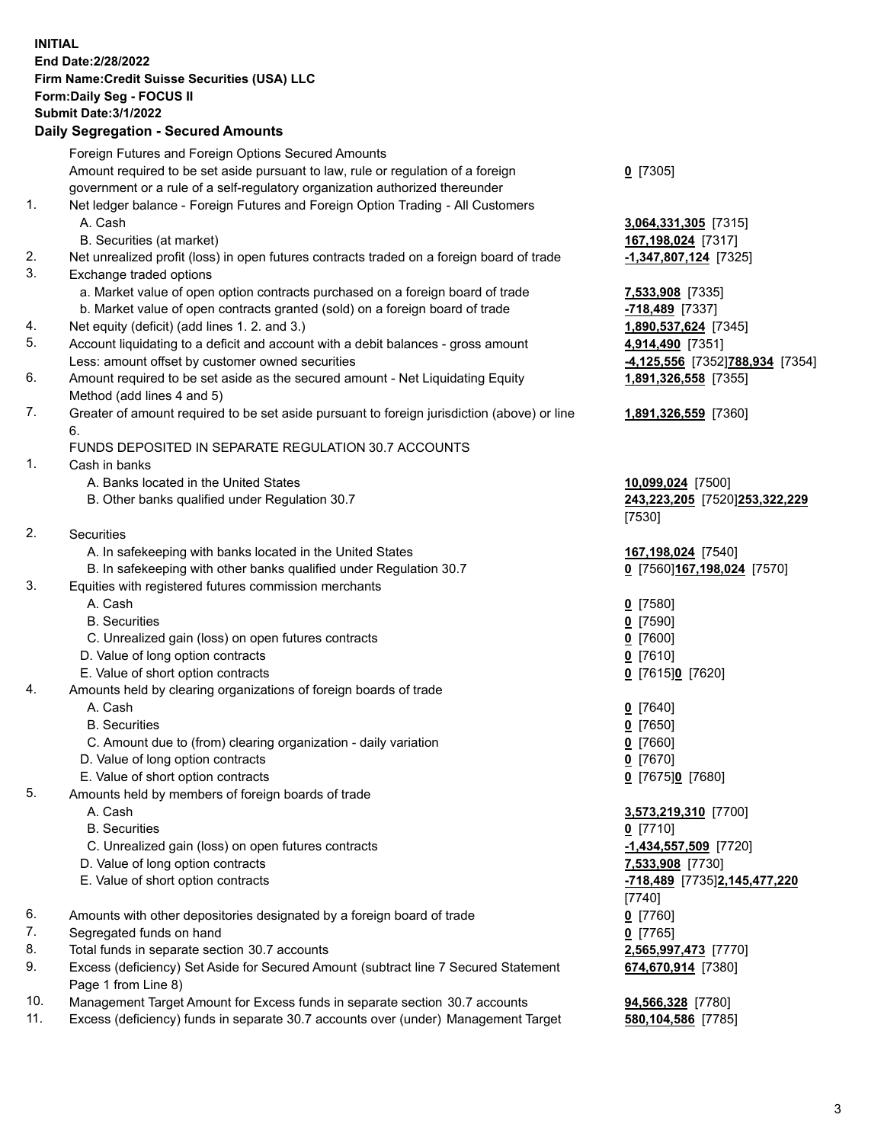**INITIAL End Date:2/28/2022 Firm Name:Credit Suisse Securities (USA) LLC Form:Daily Seg - FOCUS II** 

## **Submit Date:3/1/2022**

### **Daily Segregation - Secured Amounts**

|     | Foreign Futures and Foreign Options Secured Amounts                                                        |                                 |
|-----|------------------------------------------------------------------------------------------------------------|---------------------------------|
|     | Amount required to be set aside pursuant to law, rule or regulation of a foreign                           | $0$ [7305]                      |
|     | government or a rule of a self-regulatory organization authorized thereunder                               |                                 |
| 1.  | Net ledger balance - Foreign Futures and Foreign Option Trading - All Customers                            |                                 |
|     | A. Cash                                                                                                    | 3,064,331,305 [7315]            |
|     | B. Securities (at market)                                                                                  | 167,198,024 [7317]              |
| 2.  | Net unrealized profit (loss) in open futures contracts traded on a foreign board of trade                  | $-1,347,807,124$ [7325]         |
| 3.  | Exchange traded options                                                                                    |                                 |
|     | a. Market value of open option contracts purchased on a foreign board of trade                             | 7,533,908 [7335]                |
|     | b. Market value of open contracts granted (sold) on a foreign board of trade                               | -718,489 [7337]                 |
| 4.  | Net equity (deficit) (add lines 1. 2. and 3.)                                                              | 1,890,537,624 [7345]            |
| 5.  | Account liquidating to a deficit and account with a debit balances - gross amount                          | 4,914,490 [7351]                |
|     | Less: amount offset by customer owned securities                                                           | -4,125,556 [7352]788,934 [7354] |
| 6.  | Amount required to be set aside as the secured amount - Net Liquidating Equity                             | 1,891,326,558 [7355]            |
|     | Method (add lines 4 and 5)                                                                                 |                                 |
| 7.  | Greater of amount required to be set aside pursuant to foreign jurisdiction (above) or line<br>6.          | 1,891,326,559 [7360]            |
|     | FUNDS DEPOSITED IN SEPARATE REGULATION 30.7 ACCOUNTS                                                       |                                 |
| 1.  | Cash in banks                                                                                              |                                 |
|     | A. Banks located in the United States                                                                      | 10,099,024 [7500]               |
|     | B. Other banks qualified under Regulation 30.7                                                             | 243,223,205 [7520]253,322,229   |
|     |                                                                                                            | $[7530]$                        |
| 2.  | Securities                                                                                                 |                                 |
|     | A. In safekeeping with banks located in the United States                                                  | 167,198,024 [7540]              |
|     | B. In safekeeping with other banks qualified under Regulation 30.7                                         | 0 [7560] 167, 198, 024 [7570]   |
| 3.  | Equities with registered futures commission merchants                                                      |                                 |
|     | A. Cash                                                                                                    | $0$ [7580]                      |
|     | <b>B.</b> Securities                                                                                       | $0$ [7590]                      |
|     | C. Unrealized gain (loss) on open futures contracts                                                        | $0$ [7600]                      |
|     | D. Value of long option contracts                                                                          | $0$ [7610]                      |
|     | E. Value of short option contracts                                                                         | 0 [7615]0 [7620]                |
| 4.  | Amounts held by clearing organizations of foreign boards of trade                                          |                                 |
|     | A. Cash                                                                                                    | $0$ [7640]                      |
|     | <b>B.</b> Securities                                                                                       | $0$ [7650]                      |
|     | C. Amount due to (from) clearing organization - daily variation                                            | $Q$ [7660]                      |
|     | D. Value of long option contracts                                                                          | $0$ [7670]                      |
|     | E. Value of short option contracts                                                                         | 0 [7675]0 [7680]                |
| 5.  | Amounts held by members of foreign boards of trade                                                         |                                 |
|     | A. Cash                                                                                                    | 3,573,219,310 [7700]            |
|     | <b>B.</b> Securities                                                                                       | $0$ [7710]                      |
|     | C. Unrealized gain (loss) on open futures contracts                                                        | $-1,434,557,509$ [7720]         |
|     | D. Value of long option contracts                                                                          | 7,533,908 [7730]                |
|     | E. Value of short option contracts                                                                         | -718,489 [7735]2,145,477,220    |
|     |                                                                                                            | [7740]                          |
| 6.  | Amounts with other depositories designated by a foreign board of trade                                     | $0$ [7760]                      |
| 7.  | Segregated funds on hand                                                                                   | $0$ [7765]                      |
| 8.  | Total funds in separate section 30.7 accounts                                                              | 2,565,997,473 [7770]            |
| 9.  | Excess (deficiency) Set Aside for Secured Amount (subtract line 7 Secured Statement<br>Page 1 from Line 8) | 674,670,914 [7380]              |
| 10. | Management Target Amount for Excess funds in separate section 30.7 accounts                                | 94,566,328 [7780]               |

11. Excess (deficiency) funds in separate 30.7 accounts over (under) Management Target **580,104,586** [7785]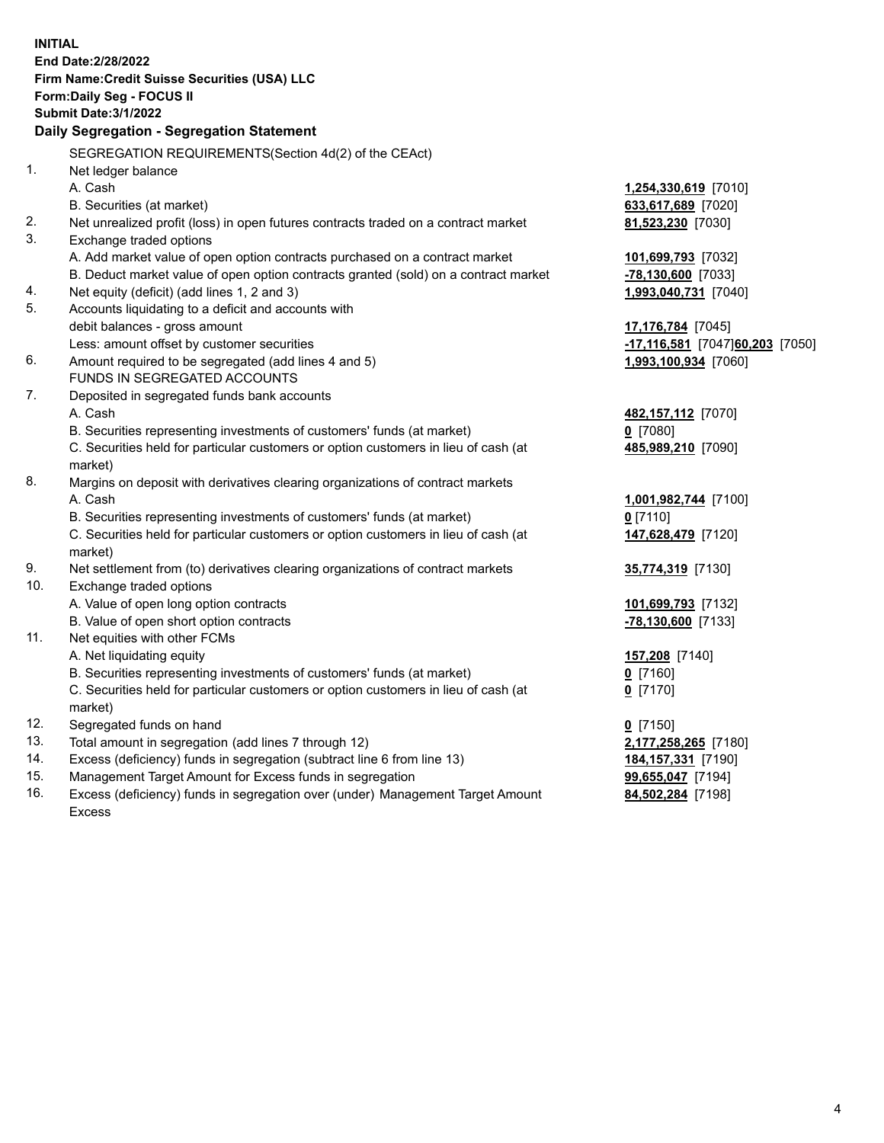| <b>INITIAL</b> | End Date: 2/28/2022<br>Firm Name: Credit Suisse Securities (USA) LLC<br><b>Form:Daily Seg - FOCUS II</b><br><b>Submit Date: 3/1/2022</b><br>Daily Segregation - Segregation Statement |                                  |
|----------------|---------------------------------------------------------------------------------------------------------------------------------------------------------------------------------------|----------------------------------|
|                | SEGREGATION REQUIREMENTS(Section 4d(2) of the CEAct)                                                                                                                                  |                                  |
| 1.             | Net ledger balance                                                                                                                                                                    |                                  |
|                | A. Cash                                                                                                                                                                               | 1,254,330,619 [7010]             |
|                | B. Securities (at market)                                                                                                                                                             | 633,617,689 [7020]               |
| 2.             | Net unrealized profit (loss) in open futures contracts traded on a contract market                                                                                                    | 81,523,230 [7030]                |
| 3.             | Exchange traded options                                                                                                                                                               |                                  |
|                | A. Add market value of open option contracts purchased on a contract market                                                                                                           | 101,699,793 [7032]               |
|                | B. Deduct market value of open option contracts granted (sold) on a contract market                                                                                                   | -78,130,600 [7033]               |
| 4.             | Net equity (deficit) (add lines 1, 2 and 3)                                                                                                                                           | 1,993,040,731 [7040]             |
| 5.             | Accounts liquidating to a deficit and accounts with                                                                                                                                   |                                  |
|                | debit balances - gross amount                                                                                                                                                         | 17,176,784 [7045]                |
|                | Less: amount offset by customer securities                                                                                                                                            | -17,116,581 [7047] 60,203 [7050] |
| 6.             | Amount required to be segregated (add lines 4 and 5)                                                                                                                                  | 1,993,100,934 [7060]             |
|                | FUNDS IN SEGREGATED ACCOUNTS                                                                                                                                                          |                                  |
| 7.             | Deposited in segregated funds bank accounts                                                                                                                                           |                                  |
|                | A. Cash                                                                                                                                                                               | 482, 157, 112 [7070]             |
|                | B. Securities representing investments of customers' funds (at market)                                                                                                                | $0$ [7080]                       |
|                | C. Securities held for particular customers or option customers in lieu of cash (at<br>market)                                                                                        | 485,989,210 [7090]               |
| 8.             | Margins on deposit with derivatives clearing organizations of contract markets                                                                                                        |                                  |
|                | A. Cash                                                                                                                                                                               | 1,001,982,744 [7100]             |
|                | B. Securities representing investments of customers' funds (at market)                                                                                                                | $0$ [7110]                       |
|                | C. Securities held for particular customers or option customers in lieu of cash (at<br>market)                                                                                        | 147,628,479 [7120]               |
| 9.             | Net settlement from (to) derivatives clearing organizations of contract markets                                                                                                       | 35,774,319 [7130]                |
| 10.            | Exchange traded options                                                                                                                                                               |                                  |
|                | A. Value of open long option contracts                                                                                                                                                | 101,699,793 [7132]               |
|                | B. Value of open short option contracts                                                                                                                                               | -78,130,600 [7133]               |
| 11.            | Net equities with other FCMs                                                                                                                                                          |                                  |
|                | A. Net liquidating equity                                                                                                                                                             | 157,208 [7140]                   |
|                | B. Securities representing investments of customers' funds (at market)                                                                                                                | 0 [7160]                         |
|                | C. Securities held for particular customers or option customers in lieu of cash (at<br>market)                                                                                        | $0$ [7170]                       |
| 12.            | Segregated funds on hand                                                                                                                                                              | $0$ [7150]                       |
| 13.            | Total amount in segregation (add lines 7 through 12)                                                                                                                                  | 2,177,258,265 [7180]             |
| 14.            | Excess (deficiency) funds in segregation (subtract line 6 from line 13)                                                                                                               | 184,157,331 [7190]               |
| 15.            | Management Target Amount for Excess funds in segregation                                                                                                                              | 99,655,047 [7194]                |
| 16.            | Excess (deficiency) funds in segregation over (under) Management Target Amount<br>Excess                                                                                              | 84,502,284 [7198]                |